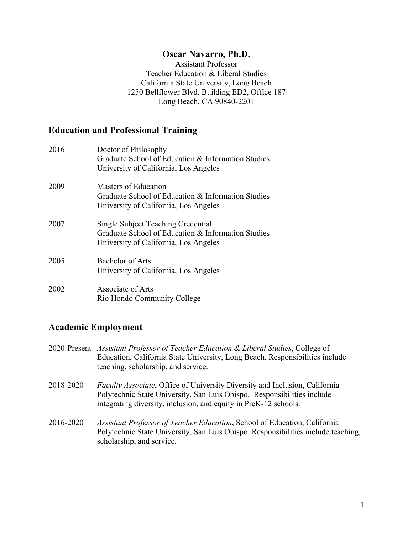## **Oscar Navarro, Ph.D.**

Assistant Professor Teacher Education & Liberal Studies California State University, Long Beach 1250 Bellflower Blvd. Building ED2, Office 187 Long Beach, CA 90840-2201

# **Education and Professional Training**

| 2016 | Doctor of Philosophy<br>Graduate School of Education & Information Studies<br>University of California, Los Angeles               |
|------|-----------------------------------------------------------------------------------------------------------------------------------|
| 2009 | Masters of Education<br>Graduate School of Education & Information Studies<br>University of California, Los Angeles               |
| 2007 | Single Subject Teaching Credential<br>Graduate School of Education & Information Studies<br>University of California, Los Angeles |
| 2005 | Bachelor of Arts<br>University of California, Los Angeles                                                                         |
| 2002 | Associate of Arts<br>Rio Hondo Community College                                                                                  |

# **Academic Employment**

- 2020-Present *Assistant Professor of Teacher Education & Liberal Studies*, College of Education, California State University, Long Beach. Responsibilities include teaching, scholarship, and service.
- 2018-2020 *Faculty Associate*, Office of University Diversity and Inclusion, California Polytechnic State University, San Luis Obispo. Responsibilities include integrating diversity, inclusion, and equity in PreK-12 schools.
- 2016-2020 *Assistant Professor of Teacher Education*, School of Education, California Polytechnic State University, San Luis Obispo. Responsibilities include teaching, scholarship, and service.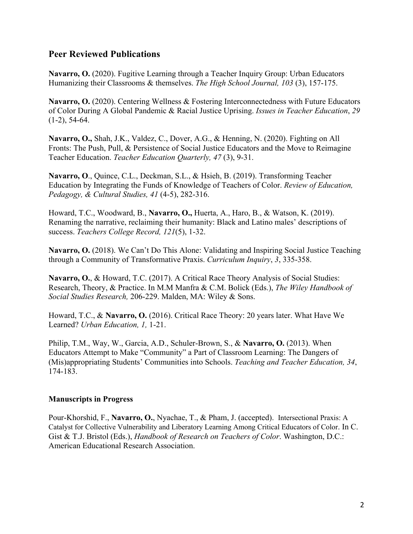### **Peer Reviewed Publications**

**Navarro, O.** (2020). Fugitive Learning through a Teacher Inquiry Group: Urban Educators Humanizing their Classrooms & themselves. *The High School Journal, 103* (3), 157-175.

**Navarro, O.** (2020). Centering Wellness & Fostering Interconnectedness with Future Educators of Color During A Global Pandemic & Racial Justice Uprising. *Issues in Teacher Education*, *29* (1-2), 54-64.

**Navarro, O.,** Shah, J.K., Valdez, C., Dover, A.G., & Henning, N. (2020). Fighting on All Fronts: The Push, Pull, & Persistence of Social Justice Educators and the Move to Reimagine Teacher Education. *Teacher Education Quarterly, 47* (3), 9-31.

**Navarro, O**., Quince, C.L., Deckman, S.L., & Hsieh, B. (2019). Transforming Teacher Education by Integrating the Funds of Knowledge of Teachers of Color. *Review of Education, Pedagogy, & Cultural Studies, 41* (4-5), 282-316.

Howard, T.C., Woodward, B., **Navarro, O.,** Huerta, A., Haro, B., & Watson, K. (2019). Renaming the narrative, reclaiming their humanity: Black and Latino males' descriptions of success. *Teachers College Record, 121*(5), 1-32.

**Navarro, O.** (2018). We Can't Do This Alone: Validating and Inspiring Social Justice Teaching through a Community of Transformative Praxis. *Curriculum Inquiry*, *3*, 335-358.

**Navarro, O.**, & Howard, T.C. (2017). A Critical Race Theory Analysis of Social Studies: Research, Theory, & Practice. In M.M Manfra & C.M. Bolick (Eds.), *The Wiley Handbook of Social Studies Research,* 206-229. Malden, MA: Wiley & Sons.

Howard, T.C., & **Navarro, O.** (2016). Critical Race Theory: 20 years later. What Have We Learned? *Urban Education, 1,* 1-21.

Philip, T.M., Way, W., Garcia, A.D., Schuler-Brown, S., & **Navarro, O.** (2013). When Educators Attempt to Make "Community" a Part of Classroom Learning: The Dangers of (Mis)appropriating Students' Communities into Schools. *Teaching and Teacher Education, 34*, 174-183.

### **Manuscripts in Progress**

Pour-Khorshid, F., **Navarro, O.**, Nyachae, T., & Pham, J. (accepted). Intersectional Praxis: A Catalyst for Collective Vulnerability and Liberatory Learning Among Critical Educators of Color. In C. Gist & T.J. Bristol (Eds.), *Handbook of Research on Teachers of Color*. Washington, D.C.: American Educational Research Association.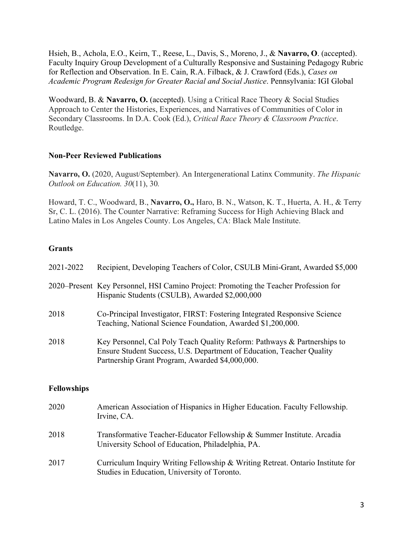Hsieh, B., Achola, E.O., Keirn, T., Reese, L., Davis, S., Moreno, J., & **Navarro, O**. (accepted). Faculty Inquiry Group Development of a Culturally Responsive and Sustaining Pedagogy Rubric for Reflection and Observation. In E. Cain, R.A. Filback, & J. Crawford (Eds.), *Cases on Academic Program Redesign for Greater Racial and Social Justice*. Pennsylvania: IGI Global

Woodward, B. & **Navarro, O.** (accepted). Using a Critical Race Theory & Social Studies Approach to Center the Histories, Experiences, and Narratives of Communities of Color in Secondary Classrooms. In D.A. Cook (Ed.), *Critical Race Theory & Classroom Practice*. Routledge.

### **Non-Peer Reviewed Publications**

**Navarro, O.** (2020, August/September). An Intergenerational Latinx Community. *The Hispanic Outlook on Education. 30*(11), 30*.*

Howard, T. C., Woodward, B., **Navarro, O.,** Haro, B. N., Watson, K. T., Huerta, A. H., & Terry Sr, C. L. (2016). The Counter Narrative: Reframing Success for High Achieving Black and Latino Males in Los Angeles County. Los Angeles, CA: Black Male Institute.

## **Grants**

| 2021-2022 | Recipient, Developing Teachers of Color, CSULB Mini-Grant, Awarded \$5,000                                                                                                                           |
|-----------|------------------------------------------------------------------------------------------------------------------------------------------------------------------------------------------------------|
|           | 2020–Present Key Personnel, HSI Camino Project: Promoting the Teacher Profession for<br>Hispanic Students (CSULB), Awarded \$2,000,000                                                               |
| 2018      | Co-Principal Investigator, FIRST: Fostering Integrated Responsive Science<br>Teaching, National Science Foundation, Awarded \$1,200,000.                                                             |
| 2018      | Key Personnel, Cal Poly Teach Quality Reform: Pathways & Partnerships to<br>Ensure Student Success, U.S. Department of Education, Teacher Quality<br>Partnership Grant Program, Awarded \$4,000,000. |
|           |                                                                                                                                                                                                      |

### **Fellowships**

| 2020 | American Association of Hispanics in Higher Education. Faculty Fellowship.<br>Irvine, CA.                                      |
|------|--------------------------------------------------------------------------------------------------------------------------------|
| 2018 | Transformative Teacher-Educator Fellowship & Summer Institute. Arcadia<br>University School of Education, Philadelphia, PA.    |
| 2017 | Curriculum Inquiry Writing Fellowship & Writing Retreat. Ontario Institute for<br>Studies in Education, University of Toronto. |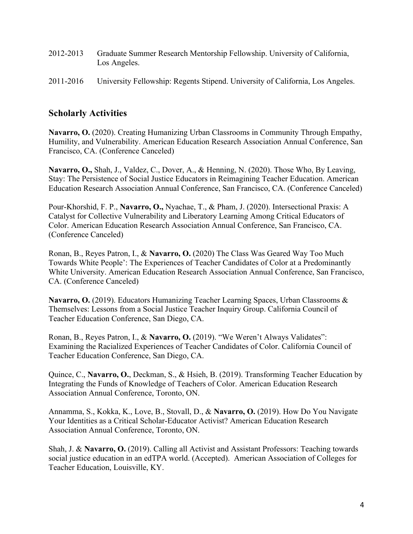- 2012-2013 Graduate Summer Research Mentorship Fellowship. University of California, Los Angeles.
- 2011-2016 University Fellowship: Regents Stipend. University of California, Los Angeles.

# **Scholarly Activities**

**Navarro, O.** (2020). Creating Humanizing Urban Classrooms in Community Through Empathy, Humility, and Vulnerability. American Education Research Association Annual Conference, San Francisco, CA. (Conference Canceled)

**Navarro, O.,** Shah, J., Valdez, C., Dover, A., & Henning, N. (2020). Those Who, By Leaving, Stay: The Persistence of Social Justice Educators in Reimagining Teacher Education. American Education Research Association Annual Conference, San Francisco, CA. (Conference Canceled)

Pour-Khorshid, F. P., **Navarro, O.,** Nyachae, T., & Pham, J. (2020). Intersectional Praxis: A Catalyst for Collective Vulnerability and Liberatory Learning Among Critical Educators of Color. American Education Research Association Annual Conference, San Francisco, CA. (Conference Canceled)

Ronan, B., Reyes Patron, I., & **Navarro, O.** (2020) The Class Was Geared Way Too Much Towards White People': The Experiences of Teacher Candidates of Color at a Predominantly White University. American Education Research Association Annual Conference, San Francisco, CA. (Conference Canceled)

**Navarro, O.** (2019). Educators Humanizing Teacher Learning Spaces, Urban Classrooms & Themselves: Lessons from a Social Justice Teacher Inquiry Group. California Council of Teacher Education Conference, San Diego, CA.

Ronan, B., Reyes Patron, I., & **Navarro, O.** (2019). "We Weren't Always Validates": Examining the Racialized Experiences of Teacher Candidates of Color. California Council of Teacher Education Conference, San Diego, CA.

Quince, C., **Navarro, O.**, Deckman, S., & Hsieh, B. (2019). Transforming Teacher Education by Integrating the Funds of Knowledge of Teachers of Color. American Education Research Association Annual Conference, Toronto, ON.

Annamma, S., Kokka, K., Love, B., Stovall, D., & **Navarro, O.** (2019). How Do You Navigate Your Identities as a Critical Scholar-Educator Activist? American Education Research Association Annual Conference, Toronto, ON.

Shah, J. & **Navarro, O.** (2019). Calling all Activist and Assistant Professors: Teaching towards social justice education in an edTPA world. (Accepted). American Association of Colleges for Teacher Education, Louisville, KY.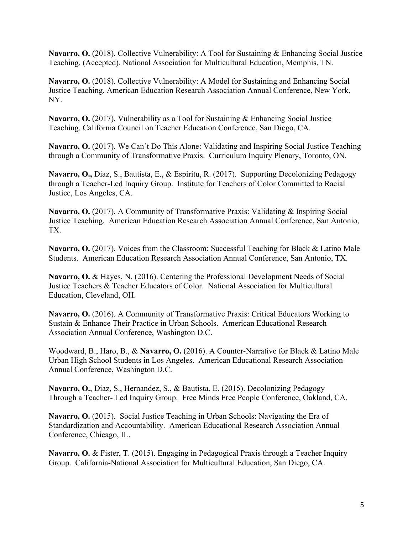**Navarro, O.** (2018). Collective Vulnerability: A Tool for Sustaining & Enhancing Social Justice Teaching. (Accepted). National Association for Multicultural Education, Memphis, TN.

**Navarro, O.** (2018). Collective Vulnerability: A Model for Sustaining and Enhancing Social Justice Teaching. American Education Research Association Annual Conference, New York, NY.

Navarro, O. (2017). Vulnerability as a Tool for Sustaining & Enhancing Social Justice Teaching. California Council on Teacher Education Conference, San Diego, CA.

Navarro, O. (2017). We Can't Do This Alone: Validating and Inspiring Social Justice Teaching through a Community of Transformative Praxis. Curriculum Inquiry Plenary, Toronto, ON.

**Navarro, O.,** Diaz, S., Bautista, E., & Espiritu, R. (2017). Supporting Decolonizing Pedagogy through a Teacher-Led Inquiry Group. Institute for Teachers of Color Committed to Racial Justice, Los Angeles, CA.

**Navarro, O.** (2017). A Community of Transformative Praxis: Validating & Inspiring Social Justice Teaching. American Education Research Association Annual Conference, San Antonio, TX.

**Navarro, O.** (2017). Voices from the Classroom: Successful Teaching for Black & Latino Male Students. American Education Research Association Annual Conference, San Antonio, TX.

**Navarro, O.** & Hayes, N. (2016). Centering the Professional Development Needs of Social Justice Teachers & Teacher Educators of Color. National Association for Multicultural Education, Cleveland, OH.

**Navarro, O.** (2016). A Community of Transformative Praxis: Critical Educators Working to Sustain & Enhance Their Practice in Urban Schools. American Educational Research Association Annual Conference, Washington D.C.

Woodward, B., Haro, B., & **Navarro, O.** (2016). A Counter-Narrative for Black & Latino Male Urban High School Students in Los Angeles. American Educational Research Association Annual Conference, Washington D.C.

**Navarro, O.**, Diaz, S., Hernandez, S., & Bautista, E. (2015). Decolonizing Pedagogy Through a Teacher- Led Inquiry Group. Free Minds Free People Conference, Oakland, CA.

**Navarro, O.** (2015). Social Justice Teaching in Urban Schools: Navigating the Era of Standardization and Accountability. American Educational Research Association Annual Conference, Chicago, IL.

**Navarro, O.** & Fister, T. (2015). Engaging in Pedagogical Praxis through a Teacher Inquiry Group. California-National Association for Multicultural Education, San Diego, CA.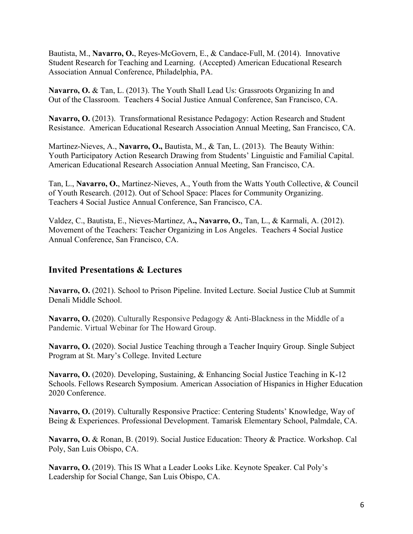Bautista, M., **Navarro, O.**, Reyes-McGovern, E., & Candace-Full, M. (2014). Innovative Student Research for Teaching and Learning. (Accepted) American Educational Research Association Annual Conference, Philadelphia, PA.

**Navarro, O.** & Tan, L. (2013). The Youth Shall Lead Us: Grassroots Organizing In and Out of the Classroom.Teachers 4 Social Justice Annual Conference, San Francisco, CA.

**Navarro, O.** (2013). Transformational Resistance Pedagogy: Action Research and Student Resistance. American Educational Research Association Annual Meeting, San Francisco, CA.

Martinez-Nieves, A., **Navarro, O.,** Bautista, M., & Tan, L. (2013). The Beauty Within: Youth Participatory Action Research Drawing from Students' Linguistic and Familial Capital. American Educational Research Association Annual Meeting, San Francisco, CA.

Tan, L., **Navarro, O.**, Martinez-Nieves, A., Youth from the Watts Youth Collective, & Council of Youth Research. (2012). Out of School Space: Places for Community Organizing. Teachers 4 Social Justice Annual Conference, San Francisco, CA.

Valdez, C., Bautista, E., Nieves-Martinez, A**., Navarro, O.**, Tan, L., & Karmali, A. (2012). Movement of the Teachers: Teacher Organizing in Los Angeles. Teachers 4 Social Justice Annual Conference, San Francisco, CA.

# **Invited Presentations & Lectures**

**Navarro, O.** (2021). School to Prison Pipeline. Invited Lecture. Social Justice Club at Summit Denali Middle School.

Navarro, O. (2020). Culturally Responsive Pedagogy & Anti-Blackness in the Middle of a Pandemic. Virtual Webinar for The Howard Group.

**Navarro, O.** (2020). Social Justice Teaching through a Teacher Inquiry Group. Single Subject Program at St. Mary's College. Invited Lecture

**Navarro, O.** (2020). Developing, Sustaining, & Enhancing Social Justice Teaching in K-12 Schools. Fellows Research Symposium. American Association of Hispanics in Higher Education 2020 Conference.

Navarro, O. (2019). Culturally Responsive Practice: Centering Students' Knowledge, Way of Being & Experiences. Professional Development. Tamarisk Elementary School, Palmdale, CA.

**Navarro, O.** & Ronan, B. (2019). Social Justice Education: Theory & Practice. Workshop. Cal Poly, San Luis Obispo, CA.

**Navarro, O.** (2019). This IS What a Leader Looks Like. Keynote Speaker. Cal Poly's Leadership for Social Change, San Luis Obispo, CA.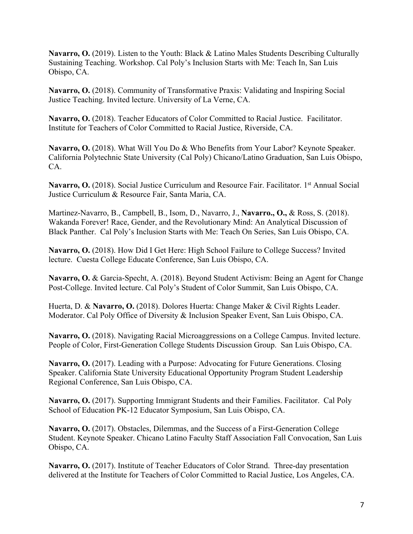**Navarro, O.** (2019). Listen to the Youth: Black & Latino Males Students Describing Culturally Sustaining Teaching. Workshop. Cal Poly's Inclusion Starts with Me: Teach In, San Luis Obispo, CA.

**Navarro, O.** (2018). Community of Transformative Praxis: Validating and Inspiring Social Justice Teaching. Invited lecture. University of La Verne, CA.

**Navarro, O.** (2018). Teacher Educators of Color Committed to Racial Justice. Facilitator. Institute for Teachers of Color Committed to Racial Justice, Riverside, CA.

Navarro, O. (2018). What Will You Do & Who Benefits from Your Labor? Keynote Speaker. California Polytechnic State University (Cal Poly) Chicano/Latino Graduation, San Luis Obispo, CA.

Navarro, O. (2018). Social Justice Curriculum and Resource Fair. Facilitator. 1<sup>st</sup> Annual Social Justice Curriculum & Resource Fair, Santa Maria, CA.

Martinez-Navarro, B., Campbell, B., Isom, D., Navarro, J., **Navarro., O.,** & Ross, S. (2018). Wakanda Forever! Race, Gender, and the Revolutionary Mind: An Analytical Discussion of Black Panther. Cal Poly's Inclusion Starts with Me: Teach On Series, San Luis Obispo, CA.

Navarro, O. (2018). How Did I Get Here: High School Failure to College Success? Invited lecture. Cuesta College Educate Conference, San Luis Obispo, CA.

**Navarro, O.** & Garcia-Specht, A. (2018). Beyond Student Activism: Being an Agent for Change Post-College. Invited lecture. Cal Poly's Student of Color Summit, San Luis Obispo, CA.

Huerta, D. & **Navarro, O.** (2018). Dolores Huerta: Change Maker & Civil Rights Leader. Moderator. Cal Poly Office of Diversity & Inclusion Speaker Event, San Luis Obispo, CA.

**Navarro, O.** (2018). Navigating Racial Microaggressions on a College Campus. Invited lecture. People of Color, First-Generation College Students Discussion Group. San Luis Obispo, CA.

**Navarro, O.** (2017). Leading with a Purpose: Advocating for Future Generations. Closing Speaker. California State University Educational Opportunity Program Student Leadership Regional Conference, San Luis Obispo, CA.

**Navarro, O.** (2017). Supporting Immigrant Students and their Families. Facilitator. Cal Poly School of Education PK-12 Educator Symposium, San Luis Obispo, CA.

Navarro, O. (2017). Obstacles, Dilemmas, and the Success of a First-Generation College Student. Keynote Speaker. Chicano Latino Faculty Staff Association Fall Convocation, San Luis Obispo, CA.

**Navarro, O.** (2017). Institute of Teacher Educators of Color Strand. Three-day presentation delivered at the Institute for Teachers of Color Committed to Racial Justice, Los Angeles, CA.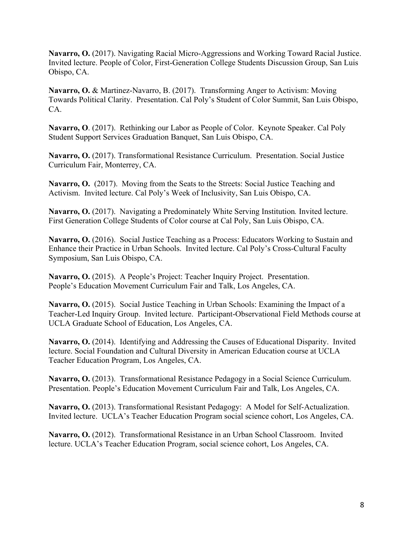**Navarro, O.** (2017). Navigating Racial Micro-Aggressions and Working Toward Racial Justice. Invited lecture. People of Color, First-Generation College Students Discussion Group, San Luis Obispo, CA.

**Navarro, O.** & Martinez-Navarro, B. (2017). Transforming Anger to Activism: Moving Towards Political Clarity. Presentation. Cal Poly's Student of Color Summit, San Luis Obispo, CA.

**Navarro, O**. (2017). Rethinking our Labor as People of Color. Keynote Speaker. Cal Poly Student Support Services Graduation Banquet, San Luis Obispo, CA.

**Navarro, O.** (2017). Transformational Resistance Curriculum. Presentation. Social Justice Curriculum Fair, Monterrey, CA.

**Navarro, O.** (2017). Moving from the Seats to the Streets: Social Justice Teaching and Activism. Invited lecture. Cal Poly's Week of Inclusivity, San Luis Obispo, CA.

**Navarro, O.** (2017). Navigating a Predominately White Serving Institution*.* Invited lecture. First Generation College Students of Color course at Cal Poly, San Luis Obispo, CA.

**Navarro, O.** (2016). Social Justice Teaching as a Process: Educators Working to Sustain and Enhance their Practice in Urban Schools. Invited lecture. Cal Poly's Cross-Cultural Faculty Symposium, San Luis Obispo, CA.

**Navarro, O.** (2015). A People's Project: Teacher Inquiry Project. Presentation. People's Education Movement Curriculum Fair and Talk, Los Angeles, CA.

**Navarro, O.** (2015). Social Justice Teaching in Urban Schools: Examining the Impact of a Teacher-Led Inquiry Group. Invited lecture. Participant-Observational Field Methods course at UCLA Graduate School of Education, Los Angeles, CA.

**Navarro, O.** (2014). Identifying and Addressing the Causes of Educational Disparity. Invited lecture. Social Foundation and Cultural Diversity in American Education course at UCLA Teacher Education Program, Los Angeles, CA.

**Navarro, O.** (2013). Transformational Resistance Pedagogy in a Social Science Curriculum. Presentation. People's Education Movement Curriculum Fair and Talk, Los Angeles, CA.

**Navarro, O.** (2013). Transformational Resistant Pedagogy: A Model for Self-Actualization. Invited lecture. UCLA's Teacher Education Program social science cohort, Los Angeles, CA.

**Navarro, O.** (2012). Transformational Resistance in an Urban School Classroom. Invited lecture. UCLA's Teacher Education Program, social science cohort, Los Angeles, CA.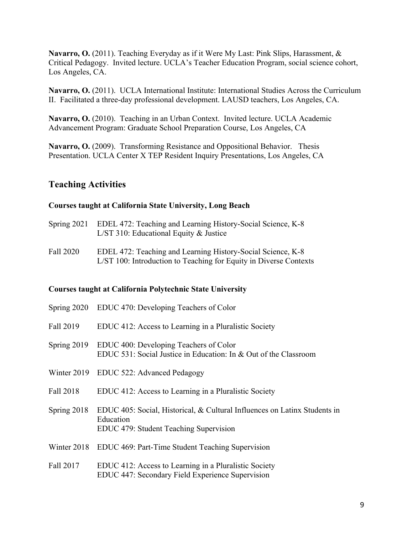**Navarro, O.** (2011). Teaching Everyday as if it Were My Last: Pink Slips, Harassment, & Critical Pedagogy. Invited lecture. UCLA's Teacher Education Program, social science cohort, Los Angeles, CA.

**Navarro, O.** (2011). UCLA International Institute: International Studies Across the Curriculum II. Facilitated a three-day professional development. LAUSD teachers, Los Angeles, CA.

**Navarro, O.** (2010). Teaching in an Urban Context. Invited lecture. UCLA Academic Advancement Program: Graduate School Preparation Course, Los Angeles, CA

**Navarro, O.** (2009). Transforming Resistance and Oppositional Behavior. Thesis Presentation. UCLA Center X TEP Resident Inquiry Presentations, Los Angeles, CA

## **Teaching Activities**

#### **Courses taught at California State University, Long Beach**

- Spring 2021 EDEL 472: Teaching and Learning History-Social Science, K-8 L/ST 310: Educational Equity & Justice
- Fall 2020 EDEL 472: Teaching and Learning History-Social Science, K-8 L/ST 100: Introduction to Teaching for Equity in Diverse Contexts

#### **Courses taught at California Polytechnic State University**

| Spring 2020 | EDUC 470: Developing Teachers of Color                                                                                           |
|-------------|----------------------------------------------------------------------------------------------------------------------------------|
| Fall 2019   | EDUC 412: Access to Learning in a Pluralistic Society                                                                            |
| Spring 2019 | EDUC 400: Developing Teachers of Color<br>EDUC 531: Social Justice in Education: In & Out of the Classroom                       |
|             | Winter 2019 EDUC 522: Advanced Pedagogy                                                                                          |
| Fall 2018   | EDUC 412: Access to Learning in a Pluralistic Society                                                                            |
| Spring 2018 | EDUC 405: Social, Historical, & Cultural Influences on Latinx Students in<br>Education<br>EDUC 479: Student Teaching Supervision |
|             | Winter 2018 EDUC 469: Part-Time Student Teaching Supervision                                                                     |
| Fall 2017   | EDUC 412: Access to Learning in a Pluralistic Society<br>EDUC 447: Secondary Field Experience Supervision                        |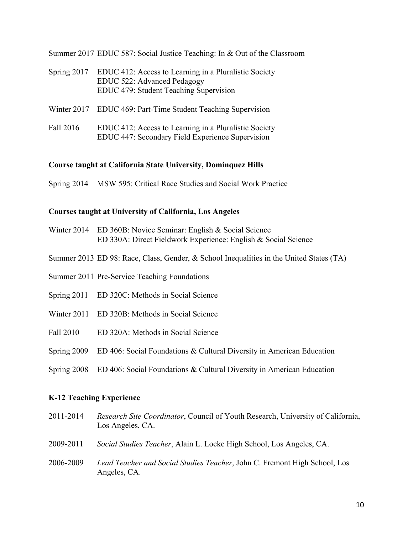Summer 2017 EDUC 587: Social Justice Teaching: In & Out of the Classroom

- Spring 2017 EDUC 412: Access to Learning in a Pluralistic Society EDUC 522: Advanced Pedagogy EDUC 479: Student Teaching Supervision
- Winter 2017 EDUC 469: Part-Time Student Teaching Supervision
- Fall 2016 EDUC 412: Access to Learning in a Pluralistic Society EDUC 447: Secondary Field Experience Supervision

#### **Course taught at California State University, Dominquez Hills**

Spring 2014 MSW 595: Critical Race Studies and Social Work Practice

#### **Courses taught at University of California, Los Angeles**

- Winter 2014 ED 360B: Novice Seminar: English & Social Science ED 330A: Direct Fieldwork Experience: English & Social Science
- Summer 2013 ED 98: Race, Class, Gender, & School Inequalities in the United States (TA)
- Summer 2011 Pre-Service Teaching Foundations
- Spring 2011 ED 320C: Methods in Social Science
- Winter 2011 ED 320B: Methods in Social Science
- Fall 2010 ED 320A: Methods in Social Science
- Spring 2009 ED 406: Social Foundations & Cultural Diversity in American Education
- Spring 2008 ED 406: Social Foundations & Cultural Diversity in American Education

#### **K-12 Teaching Experience**

- 2011-2014 *Research Site Coordinator*, Council of Youth Research, University of California, Los Angeles, CA.
- 2009-2011 *Social Studies Teacher*, Alain L. Locke High School, Los Angeles, CA.
- 2006-2009 *Lead Teacher and Social Studies Teacher*, John C. Fremont High School, Los Angeles, CA.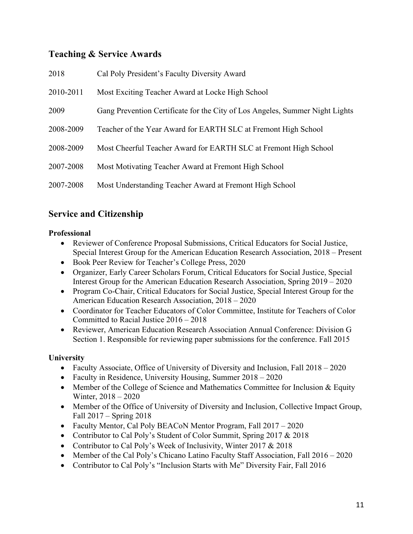# **Teaching & Service Awards**

| 2018      | Cal Poly President's Faculty Diversity Award                                 |
|-----------|------------------------------------------------------------------------------|
| 2010-2011 | Most Exciting Teacher Award at Locke High School                             |
| 2009      | Gang Prevention Certificate for the City of Los Angeles, Summer Night Lights |
| 2008-2009 | Teacher of the Year Award for EARTH SLC at Fremont High School               |
| 2008-2009 | Most Cheerful Teacher Award for EARTH SLC at Fremont High School             |
| 2007-2008 | Most Motivating Teacher Award at Fremont High School                         |
| 2007-2008 | Most Understanding Teacher Award at Fremont High School                      |

# **Service and Citizenship**

### **Professional**

- Reviewer of Conference Proposal Submissions, Critical Educators for Social Justice, Special Interest Group for the American Education Research Association, 2018 – Present
- Book Peer Review for Teacher's College Press, 2020
- Organizer, Early Career Scholars Forum, Critical Educators for Social Justice, Special Interest Group for the American Education Research Association, Spring 2019 – 2020
- Program Co-Chair, Critical Educators for Social Justice, Special Interest Group for the American Education Research Association, 2018 – 2020
- Coordinator for Teacher Educators of Color Committee, Institute for Teachers of Color Committed to Racial Justice 2016 – 2018
- Reviewer, American Education Research Association Annual Conference: Division G Section 1. Responsible for reviewing paper submissions for the conference. Fall 2015

### **University**

- Faculty Associate, Office of University of Diversity and Inclusion, Fall 2018 2020
- Faculty in Residence, University Housing, Summer 2018 2020
- Member of the College of Science and Mathematics Committee for Inclusion  $&$  Equity Winter, 2018 – 2020
- Member of the Office of University of Diversity and Inclusion, Collective Impact Group, Fall 2017 – Spring 2018
- Faculty Mentor, Cal Poly BEACoN Mentor Program, Fall 2017 2020
- Contributor to Cal Poly's Student of Color Summit, Spring 2017 & 2018
- Contributor to Cal Poly's Week of Inclusivity, Winter 2017 & 2018
- Member of the Cal Poly's Chicano Latino Faculty Staff Association, Fall 2016 2020
- Contributor to Cal Poly's "Inclusion Starts with Me" Diversity Fair, Fall 2016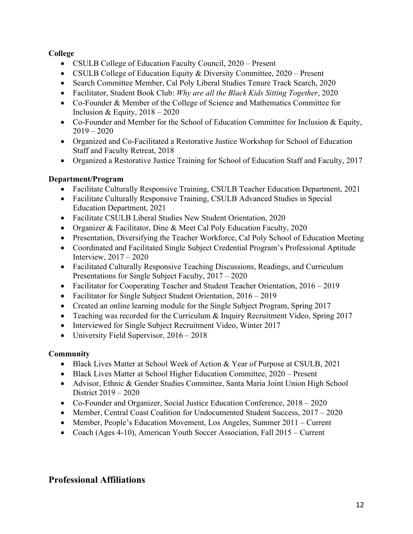## **College**

- CSULB College of Education Faculty Council, 2020 Present
- CSULB College of Education Equity & Diversity Committee, 2020 Present
- Search Committee Member, Cal Poly Liberal Studies Tenure Track Search, 2020
- Facilitator, Student Book Club: *Why are all the Black Kids Sitting Together*, 2020
- Co-Founder & Member of the College of Science and Mathematics Committee for Inclusion & Equity,  $2018 - 2020$
- Co-Founder and Member for the School of Education Committee for Inclusion & Equity,  $2019 - 2020$
- Organized and Co-Facilitated a Restorative Justice Workshop for School of Education Staff and Faculty Retreat, 2018
- Organized a Restorative Justice Training for School of Education Staff and Faculty, 2017

# **Department/Program**

- Facilitate Culturally Responsive Training, CSULB Teacher Education Department, 2021
- Facilitate Culturally Responsive Training, CSULB Advanced Studies in Special Education Department, 2021
- Facilitate CSULB Liberal Studies New Student Orientation, 2020
- Organizer & Facilitator, Dine & Meet Cal Poly Education Faculty, 2020
- Presentation, Diversifying the Teacher Workforce, Cal Poly School of Education Meeting
- Coordinated and Facilitated Single Subject Credential Program's Professional Aptitude Interview, 2017 – 2020
- Facilitated Culturally Responsive Teaching Discussions, Readings, and Curriculum Presentations for Single Subject Faculty, 2017 – 2020
- Facilitator for Cooperating Teacher and Student Teacher Orientation, 2016 2019
- Facilitator for Single Subject Student Orientation, 2016 2019
- Created an online learning module for the Single Subject Program, Spring 2017
- Teaching was recorded for the Curriculum & Inquiry Recruitment Video, Spring 2017
- Interviewed for Single Subject Recruitment Video, Winter 2017
- University Field Supervisor, 2016 2018

# **Community**

- Black Lives Matter at School Week of Action & Year of Purpose at CSULB, 2021
- Black Lives Matter at School Higher Education Committee, 2020 Present
- Advisor, Ethnic & Gender Studies Committee, Santa Maria Joint Union High School District 2019 – 2020
- Co-Founder and Organizer, Social Justice Education Conference, 2018 2020
- Member, Central Coast Coalition for Undocumented Student Success,  $2017 2020$
- Member, People's Education Movement, Los Angeles, Summer 2011 Current
- Coach (Ages 4-10), American Youth Soccer Association, Fall 2015 Current

# **Professional Affiliations**